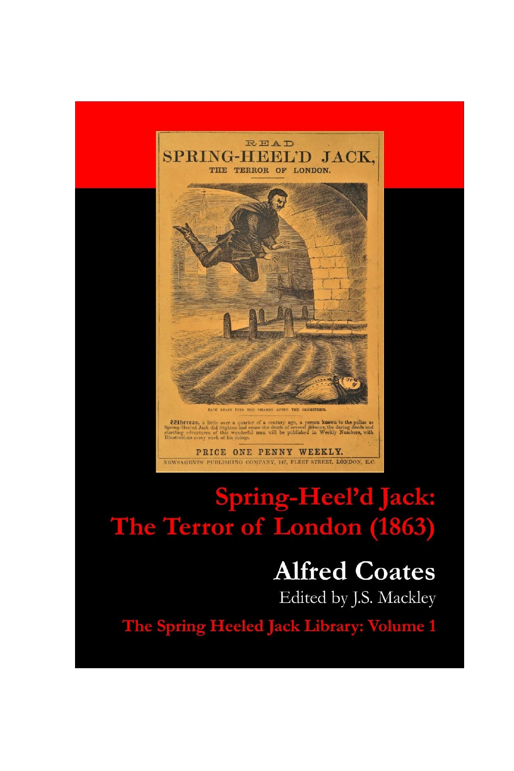



# Spring-Heel'd Jack: The Terror of London (1863)

# **Alfred Coates**

Edited by J.S. Mackley

The Spring Heeled Jack Library: Volume 1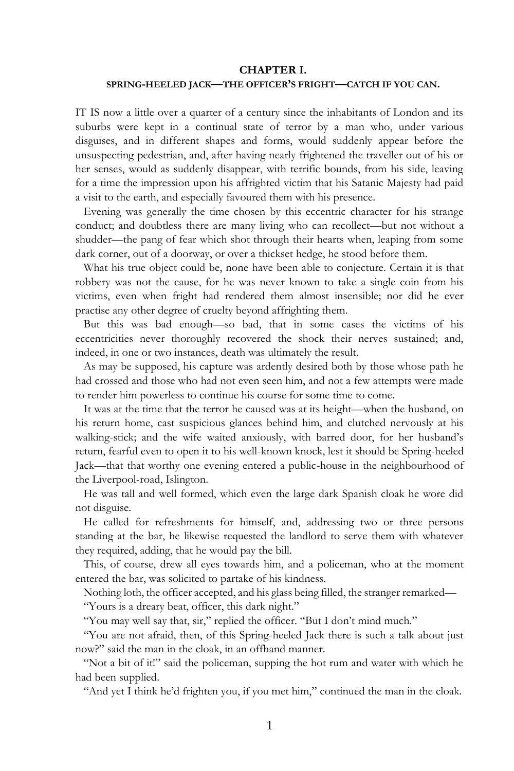### **CHAPTER I.**

### **SPRING-HEELED JACK—THE OFFICER'S FRIGHT—CATCH IF YOU CAN.**

IT IS now a little over a quarter of a century since the inhabitants of London and its suburbs were kept in a continual state of terror by a man who, under various disguises, and in different shapes and forms, would suddenly appear before the unsuspecting pedestrian, and, after having nearly frightened the traveller out of his or her senses, would as suddenly disappear, with terrific bounds, from his side, leaving for a time the impression upon his affrighted victim that his Satanic Majesty had paid a visit to the earth, and especially favoured them with his presence.

Evening was generally the time chosen by this eccentric character for his strange conduct; and doubtless there are many living who can recollect—but not without a shudder—the pang of fear which shot through their hearts when, leaping from some dark corner, out of a doorway, or over a thickset hedge, he stood before them.

What his true object could be, none have been able to conjecture. Certain it is that robbery was not the cause, for he was never known to take a single coin from his victims, even when fright had rendered them almost insensible; nor did he ever practise any other degree of cruelty beyond affrighting them.

But this was bad enough—so bad, that in some cases the victims of his eccentricities never thoroughly recovered the shock their nerves sustained; and, indeed, in one or two instances, death was ultimately the result.

As may be supposed, his capture was ardently desired both by those whose path he had crossed and those who had not even seen him, and not a few attempts were made to render him powerless to continue his course for some time to come.

It was at the time that the terror he caused was at its height—when the husband, on his return home, cast suspicious glances behind him, and clutched nervously at his walking-stick; and the wife waited anxiously, with barred door, for her husband's return, fearful even to open it to his well-known knock, lest it should be Spring-heeled Jack—that that worthy one evening entered a public-house in the neighbourhood of the Liverpool-road, Islington.

He was tall and well formed, which even the large dark Spanish cloak he wore did not disguise.

He called for refreshments for himself, and, addressing two or three persons standing at the bar, he likewise requested the landlord to serve them with whatever they required, adding, that he would pay the bill.

This, of course, drew all eyes towards him, and a policeman, who at the moment entered the bar, was solicited to partake of his kindness.

Nothing loth, the officer accepted, and his glass being filled, the stranger remarked—

"Yours is a dreary beat, officer, this dark night."

"You may well say that, sir," replied the officer. "But I don't mind much."

"You are not afraid, then, of this Spring-heeled Jack there is such a talk about just now?" said the man in the cloak, in an offhand manner.

"Not a bit of it!" said the policeman, supping the hot rum and water with which he had been supplied.

"And yet I think he'd frighten you, if you met him," continued the man in the cloak.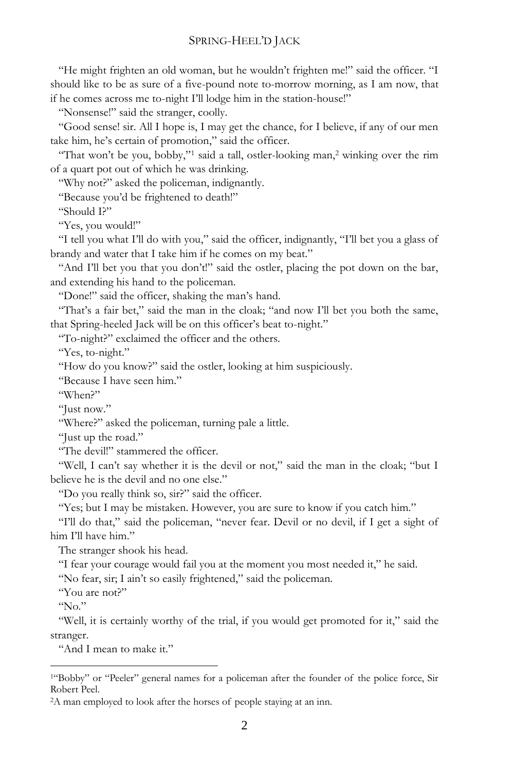# SPRING-HEEL'D JACK

"He might frighten an old woman, but he wouldn't frighten me!" said the officer. "I should like to be as sure of a five-pound note to-morrow morning, as I am now, that if he comes across me to-night I'll lodge him in the station-house!"

"Nonsense!" said the stranger, coolly.

"Good sense! sir. All I hope is, I may get the chance, for I believe, if any of our men take him, he's certain of promotion," said the officer.

"That won't be you, bobby,"<sup>1</sup> said a tall, ostler-looking man,<sup>2</sup> winking over the rim of a quart pot out of which he was drinking.

"Why not?" asked the policeman, indignantly.

"Because you'd be frightened to death!"

"Should I?"

"Yes, you would!"

"I tell you what I'll do with you," said the officer, indignantly, "I'll bet you a glass of brandy and water that I take him if he comes on my beat."

"And I'll bet you that you don't!" said the ostler, placing the pot down on the bar, and extending his hand to the policeman.

"Done!" said the officer, shaking the man's hand.

"That's a fair bet," said the man in the cloak; "and now I'll bet you both the same, that Spring-heeled Jack will be on this officer's beat to-night."

"To-night?" exclaimed the officer and the others.

"Yes, to-night."

"How do you know?" said the ostler, looking at him suspiciously.

"Because I have seen him."

"When?"

"Just now."

"Where?" asked the policeman, turning pale a little.

"Just up the road."

"The devil!" stammered the officer.

"Well, I can't say whether it is the devil or not," said the man in the cloak; "but I believe he is the devil and no one else."

"Do you really think so, sir?" said the officer.

"Yes; but I may be mistaken. However, you are sure to know if you catch him."

"I'll do that," said the policeman, "never fear. Devil or no devil, if I get a sight of him I'll have him"

The stranger shook his head.

"I fear your courage would fail you at the moment you most needed it," he said.

"No fear, sir; I ain't so easily frightened," said the policeman.

"You are not?"

 $\omega_{\rm No}$ "

 $\overline{\phantom{a}}$ 

"Well, it is certainly worthy of the trial, if you would get promoted for it," said the stranger.

"And I mean to make it."

2A man employed to look after the horses of people staying at an inn.

<sup>1</sup>"Bobby" or "Peeler" general names for a policeman after the founder of the police force, Sir Robert Peel.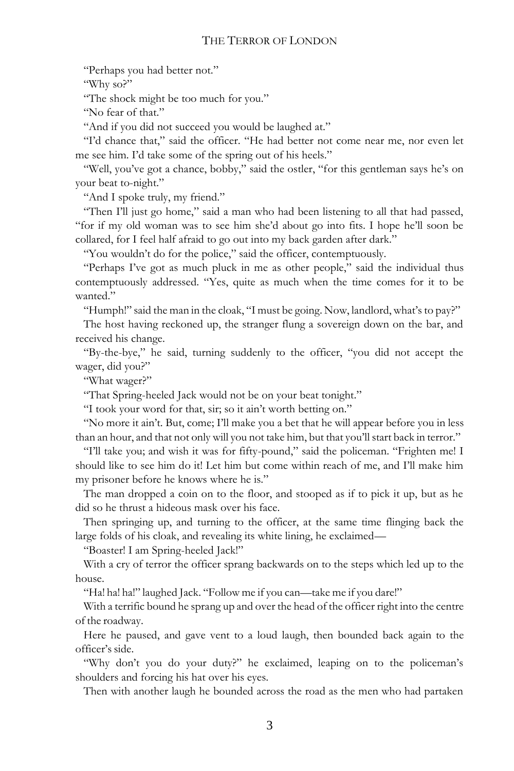## THE TERROR OF LONDON

"Perhaps you had better not."

"Why so?"

"The shock might be too much for you."

"No fear of that."

"And if you did not succeed you would be laughed at."

"I'd chance that," said the officer. "He had better not come near me, nor even let me see him. I'd take some of the spring out of his heels."

"Well, you've got a chance, bobby," said the ostler, "for this gentleman says he's on your beat to-night."

"And I spoke truly, my friend."

"Then I'll just go home," said a man who had been listening to all that had passed, "for if my old woman was to see him she'd about go into fits. I hope he'll soon be collared, for I feel half afraid to go out into my back garden after dark."

"You wouldn't do for the police," said the officer, contemptuously.

"Perhaps I've got as much pluck in me as other people," said the individual thus contemptuously addressed. "Yes, quite as much when the time comes for it to be wanted."

"Humph!" said the man in the cloak, "I must be going. Now, landlord, what's to pay?"

The host having reckoned up, the stranger flung a sovereign down on the bar, and received his change.

"By-the-bye," he said, turning suddenly to the officer, "you did not accept the wager, did you?"

"What wager?"

"That Spring-heeled Jack would not be on your beat tonight."

"I took your word for that, sir; so it ain't worth betting on."

"No more it ain't. But, come; I'll make you a bet that he will appear before you in less than an hour, and that not only will you not take him, but that you'll start back in terror."

"I'll take you; and wish it was for fifty-pound," said the policeman. "Frighten me! I should like to see him do it! Let him but come within reach of me, and I'll make him my prisoner before he knows where he is."

The man dropped a coin on to the floor, and stooped as if to pick it up, but as he did so he thrust a hideous mask over his face.

Then springing up, and turning to the officer, at the same time flinging back the large folds of his cloak, and revealing its white lining, he exclaimed—

"Boaster! I am Spring-heeled Jack!"

With a cry of terror the officer sprang backwards on to the steps which led up to the house.

"Ha! ha! ha!" laughed Jack. "Follow me if you can—take me if you dare!"

With a terrific bound he sprang up and over the head of the officer right into the centre of the roadway.

Here he paused, and gave vent to a loud laugh, then bounded back again to the officer's side.

"Why don't you do your duty?" he exclaimed, leaping on to the policeman's shoulders and forcing his hat over his eyes.

Then with another laugh he bounded across the road as the men who had partaken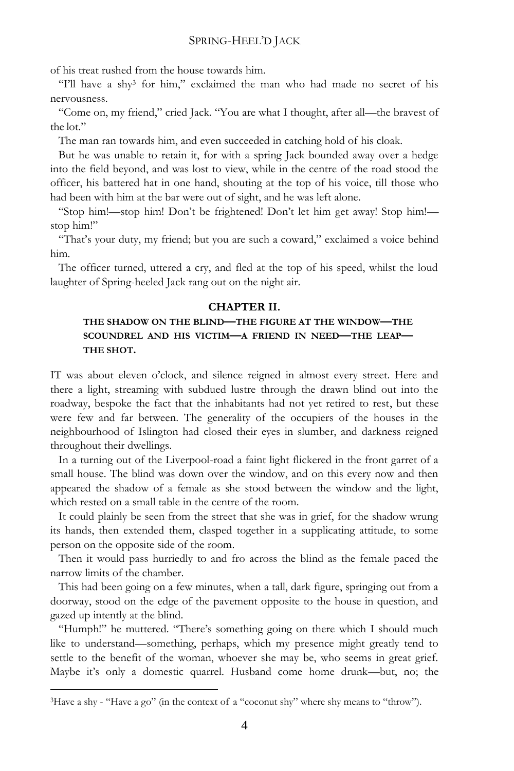of his treat rushed from the house towards him.

"I'll have a shy<sup>3</sup> for him," exclaimed the man who had made no secret of his nervousness.

"Come on, my friend," cried Jack. "You are what I thought, after all—the bravest of the lot."

The man ran towards him, and even succeeded in catching hold of his cloak.

But he was unable to retain it, for with a spring Jack bounded away over a hedge into the field beyond, and was lost to view, while in the centre of the road stood the officer, his battered hat in one hand, shouting at the top of his voice, till those who had been with him at the bar were out of sight, and he was left alone.

"Stop him!—stop him! Don't be frightened! Don't let him get away! Stop him! stop him!"

"That's your duty, my friend; but you are such a coward," exclaimed a voice behind him.

The officer turned, uttered a cry, and fled at the top of his speed, whilst the loud laughter of Spring-heeled Jack rang out on the night air.

### **CHAPTER II.**

# **THE SHADOW ON THE BLIND—THE FIGURE AT THE WINDOW—THE SCOUNDREL AND HIS VICTIM—A FRIEND IN NEED—THE LEAP— THE SHOT.**

IT was about eleven o'clock, and silence reigned in almost every street. Here and there a light, streaming with subdued lustre through the drawn blind out into the roadway, bespoke the fact that the inhabitants had not yet retired to rest, but these were few and far between. The generality of the occupiers of the houses in the neighbourhood of Islington had closed their eyes in slumber, and darkness reigned throughout their dwellings.

In a turning out of the Liverpool-road a faint light flickered in the front garret of a small house. The blind was down over the window, and on this every now and then appeared the shadow of a female as she stood between the window and the light, which rested on a small table in the centre of the room.

It could plainly be seen from the street that she was in grief, for the shadow wrung its hands, then extended them, clasped together in a supplicating attitude, to some person on the opposite side of the room.

Then it would pass hurriedly to and fro across the blind as the female paced the narrow limits of the chamber.

This had been going on a few minutes, when a tall, dark figure, springing out from a doorway, stood on the edge of the pavement opposite to the house in question, and gazed up intently at the blind.

"Humph!" he muttered. "There's something going on there which I should much like to understand—something, perhaps, which my presence might greatly tend to settle to the benefit of the woman, whoever she may be, who seems in great grief. Maybe it's only a domestic quarrel. Husband come home drunk—but, no; the

 $\overline{a}$ 

<sup>3</sup>Have a shy - "Have a go" (in the context of a "coconut shy" where shy means to "throw").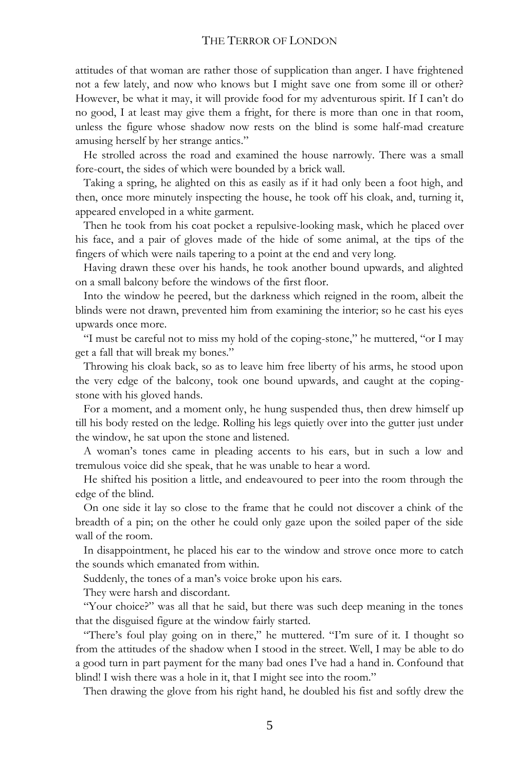attitudes of that woman are rather those of supplication than anger. I have frightened not a few lately, and now who knows but I might save one from some ill or other? However, be what it may, it will provide food for my adventurous spirit. If I can't do no good, I at least may give them a fright, for there is more than one in that room, unless the figure whose shadow now rests on the blind is some half-mad creature amusing herself by her strange antics."

He strolled across the road and examined the house narrowly. There was a small fore-court, the sides of which were bounded by a brick wall.

Taking a spring, he alighted on this as easily as if it had only been a foot high, and then, once more minutely inspecting the house, he took off his cloak, and, turning it, appeared enveloped in a white garment.

Then he took from his coat pocket a repulsive-looking mask, which he placed over his face, and a pair of gloves made of the hide of some animal, at the tips of the fingers of which were nails tapering to a point at the end and very long.

Having drawn these over his hands, he took another bound upwards, and alighted on a small balcony before the windows of the first floor.

Into the window he peered, but the darkness which reigned in the room, albeit the blinds were not drawn, prevented him from examining the interior; so he cast his eyes upwards once more.

"I must be careful not to miss my hold of the coping-stone," he muttered, "or I may get a fall that will break my bones."

Throwing his cloak back, so as to leave him free liberty of his arms, he stood upon the very edge of the balcony, took one bound upwards, and caught at the copingstone with his gloved hands.

For a moment, and a moment only, he hung suspended thus, then drew himself up till his body rested on the ledge. Rolling his legs quietly over into the gutter just under the window, he sat upon the stone and listened.

A woman's tones came in pleading accents to his ears, but in such a low and tremulous voice did she speak, that he was unable to hear a word.

He shifted his position a little, and endeavoured to peer into the room through the edge of the blind.

On one side it lay so close to the frame that he could not discover a chink of the breadth of a pin; on the other he could only gaze upon the soiled paper of the side wall of the room.

In disappointment, he placed his ear to the window and strove once more to catch the sounds which emanated from within.

Suddenly, the tones of a man's voice broke upon his ears.

They were harsh and discordant.

"Your choice?" was all that he said, but there was such deep meaning in the tones that the disguised figure at the window fairly started.

"There's foul play going on in there," he muttered. "I'm sure of it. I thought so from the attitudes of the shadow when I stood in the street. Well, I may be able to do a good turn in part payment for the many bad ones I've had a hand in. Confound that blind! I wish there was a hole in it, that I might see into the room."

Then drawing the glove from his right hand, he doubled his fist and softly drew the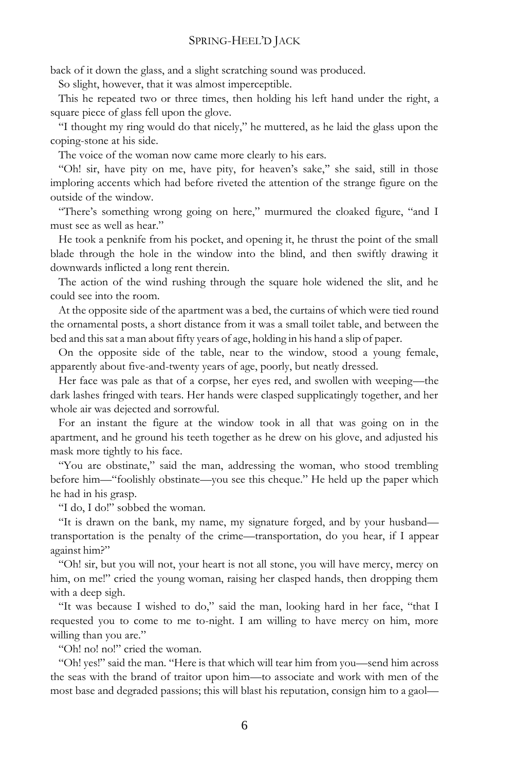back of it down the glass, and a slight scratching sound was produced.

So slight, however, that it was almost imperceptible.

This he repeated two or three times, then holding his left hand under the right, a square piece of glass fell upon the glove.

"I thought my ring would do that nicely," he muttered, as he laid the glass upon the coping-stone at his side.

The voice of the woman now came more clearly to his ears.

"Oh! sir, have pity on me, have pity, for heaven's sake,'' she said, still in those imploring accents which had before riveted the attention of the strange figure on the outside of the window.

"There's something wrong going on here," murmured the cloaked figure, "and I must see as well as hear."

He took a penknife from his pocket, and opening it, he thrust the point of the small blade through the hole in the window into the blind, and then swiftly drawing it downwards inflicted a long rent therein.

The action of the wind rushing through the square hole widened the slit, and he could see into the room.

At the opposite side of the apartment was a bed, the curtains of which were tied round the ornamental posts, a short distance from it was a small toilet table, and between the bed and thissat a man about fifty years of age, holding in his hand a slip of paper.

On the opposite side of the table, near to the window, stood a young female, apparently about five-and-twenty years of age, poorly, but neatly dressed.

Her face was pale as that of a corpse, her eyes red, and swollen with weeping—the dark lashes fringed with tears. Her hands were clasped supplicatingly together, and her whole air was dejected and sorrowful.

For an instant the figure at the window took in all that was going on in the apartment, and he ground his teeth together as he drew on his glove, and adjusted his mask more tightly to his face.

"You are obstinate," said the man, addressing the woman, who stood trembling before him—"foolishly obstinate—you see this cheque." He held up the paper which he had in his grasp.

"I do, I do!" sobbed the woman.

"It is drawn on the bank, my name, my signature forged, and by your husband transportation is the penalty of the crime—transportation, do you hear, if I appear against him?"

"Oh! sir, but you will not, your heart is not all stone, you will have mercy, mercy on him, on me!" cried the young woman, raising her clasped hands, then dropping them with a deep sigh.

"It was because I wished to do," said the man, looking hard in her face, "that I requested you to come to me to-night. I am willing to have mercy on him, more willing than you are."

"Oh! no! no!" cried the woman.

"Oh! yes!" said the man. "Here is that which will tear him from you—send him across the seas with the brand of traitor upon him—to associate and work with men of the most base and degraded passions; this will blast his reputation, consign him to a gaol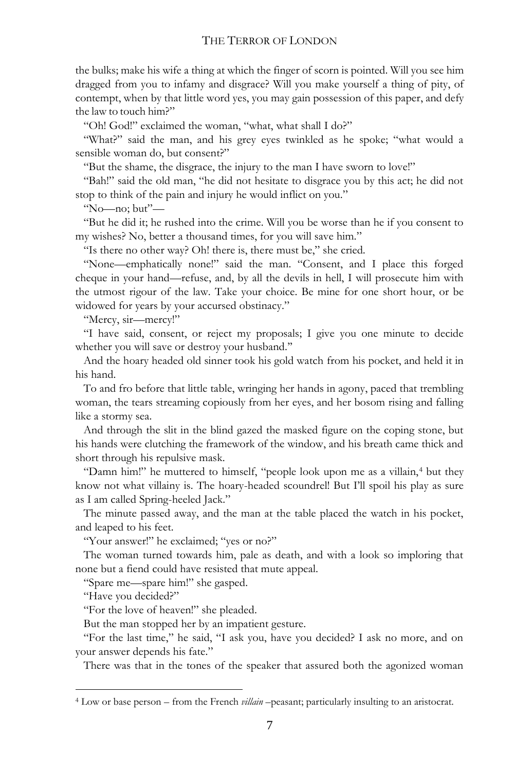the bulks; make his wife a thing at which the finger of scorn is pointed. Will you see him dragged from you to infamy and disgrace? Will you make yourself a thing of pity, of contempt, when by that little word yes, you may gain possession of this paper, and defy the law to touch him?"

"Oh! God!" exclaimed the woman, "what, what shall I do?"

"What?" said the man, and his grey eyes twinkled as he spoke; "what would a sensible woman do, but consent?"

"But the shame, the disgrace, the injury to the man I have sworn to love!"

"Bah!" said the old man, "he did not hesitate to disgrace you by this act; he did not stop to think of the pain and injury he would inflict on you."

"No—no; but"—

"But he did it; he rushed into the crime. Will you be worse than he if you consent to my wishes? No, better a thousand times, for you will save him."

"Is there no other way? Oh! there is, there must be," she cried.

"None—emphatically none!" said the man. "Consent, and I place this forged cheque in your hand—refuse, and, by all the devils in hell, I will prosecute him with the utmost rigour of the law. Take your choice. Be mine for one short hour, or be widowed for years by your accursed obstinacy."

"Mercy, sir—mercy!"

"I have said, consent, or reject my proposals; I give you one minute to decide whether you will save or destroy your husband.''

And the hoary headed old sinner took his gold watch from his pocket, and held it in his hand.

To and fro before that little table, wringing her hands in agony, paced that trembling woman, the tears streaming copiously from her eyes, and her bosom rising and falling like a stormy sea.

And through the slit in the blind gazed the masked figure on the coping stone, but his hands were clutching the framework of the window, and his breath came thick and short through his repulsive mask.

"Damn him!" he muttered to himself, "people look upon me as a villain,<sup>4</sup> but they know not what villainy is. The hoary-headed scoundrel! But I'll spoil his play as sure as I am called Spring-heeled Jack."

The minute passed away, and the man at the table placed the watch in his pocket, and leaped to his feet.

"Your answer!" he exclaimed; "yes or no?"

The woman turned towards him, pale as death, and with a look so imploring that none but a fiend could have resisted that mute appeal.

"Spare me—spare him!" she gasped.

"Have you decided?"

 $\ddot{\phantom{a}}$ 

"For the love of heaven!" she pleaded.

But the man stopped her by an impatient gesture.

"For the last time," he said, "I ask you, have you decided? I ask no more, and on your answer depends his fate."

There was that in the tones of the speaker that assured both the agonized woman

<sup>4</sup> Low or base person – from the French *villain –*peasant; particularly insulting to an aristocrat.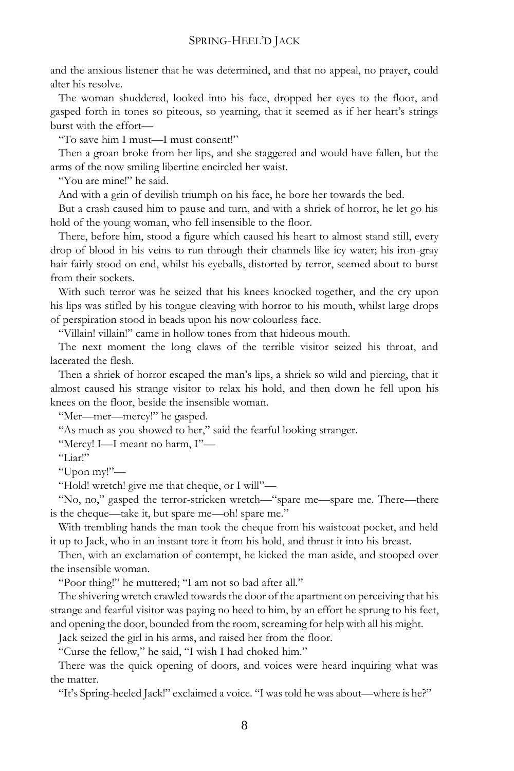and the anxious listener that he was determined, and that no appeal, no prayer, could alter his resolve.

The woman shuddered, looked into his face, dropped her eyes to the floor, and gasped forth in tones so piteous, so yearning, that it seemed as if her heart's strings burst with the effort—

"To save him I must—I must consent!"

Then a groan broke from her lips, and she staggered and would have fallen, but the arms of the now smiling libertine encircled her waist.

"You are mine!" he said.

And with a grin of devilish triumph on his face, he bore her towards the bed.

But a crash caused him to pause and turn, and with a shriek of horror, he let go his hold of the young woman, who fell insensible to the floor.

There, before him, stood a figure which caused his heart to almost stand still, every drop of blood in his veins to run through their channels like icy water; his iron-gray hair fairly stood on end, whilst his eyeballs, distorted by terror, seemed about to burst from their sockets.

With such terror was he seized that his knees knocked together, and the cry upon his lips was stifled by his tongue cleaving with horror to his mouth, whilst large drops of perspiration stood in beads upon his now colourless face.

"Villain! villain!" came in hollow tones from that hideous mouth.

The next moment the long claws of the terrible visitor seized his throat, and lacerated the flesh.

Then a shriek of horror escaped the man's lips, a shriek so wild and piercing, that it almost caused his strange visitor to relax his hold, and then down he fell upon his knees on the floor, beside the insensible woman.

"Mer—mer—mercy!" he gasped.

"As much as you showed to her," said the fearful looking stranger.

"Mercy! I—I meant no harm, I"—

"Liar!"

"Upon my!"—

"Hold! wretch! give me that cheque, or I will"—

"No, no," gasped the terror-stricken wretch—"spare me—spare me. There—there is the cheque—take it, but spare me—oh! spare me."

With trembling hands the man took the cheque from his waistcoat pocket, and held it up to Jack, who in an instant tore it from his hold, and thrust it into his breast.

Then, with an exclamation of contempt, he kicked the man aside, and stooped over the insensible woman.

"Poor thing!" he muttered; "I am not so bad after all."

The shivering wretch crawled towards the door of the apartment on perceiving that his strange and fearful visitor was paying no heed to him, by an effort he sprung to his feet, and opening the door, bounded from the room, screaming for help with all his might.

Jack seized the girl in his arms, and raised her from the floor.

"Curse the fellow," he said, "I wish I had choked him."

There was the quick opening of doors, and voices were heard inquiring what was the matter.

"It's Spring-heeled Jack!" exclaimed a voice. "I wastold he was about—where is he?"